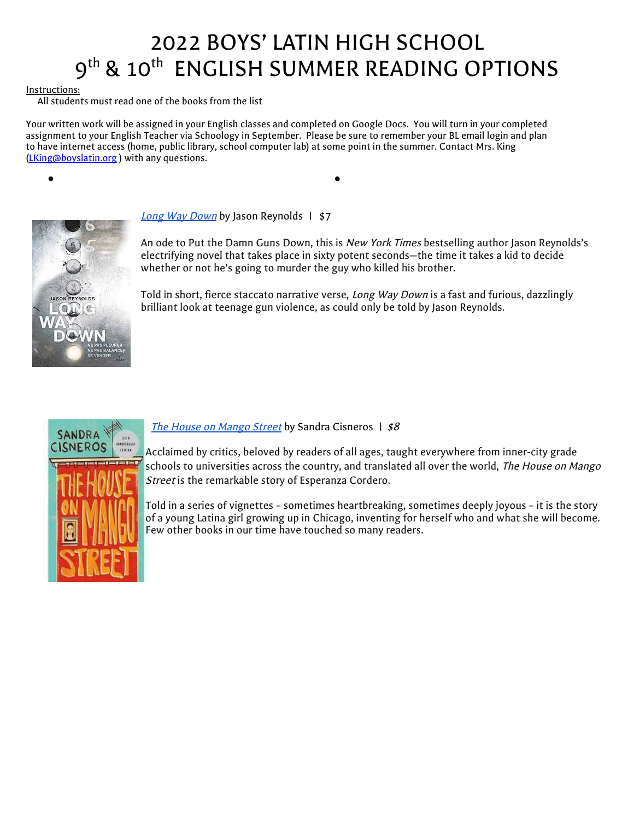# 2022 BOYS' LATIN HIGH SCHOOL 9<sup>th</sup> & 10<sup>th</sup> ENGLISH SUMMER READING OPTIONS

#### Instructions:

All students must read one of the books from the list

Your written work will be assigned in your English classes and completed on Google Docs. You will turn in your completed assignment to your English Teacher via Schoology in September. Please be sure to remember your BL email login and plan to have internet access (home, public library, school computer lab) at some point in the summer. Contact Mrs. King ([LKing@boyslatin.org](mailto:LKing@boyslatin.org) ) with any questions.



[Long](https://www.amazon.com/Long-Way-Down-Jason-Reynolds/dp/1481438263/ref=sr_1_3?crid=G6NCZU2366VS&keywords=the+long+way+down&qid=1654696190&sprefix=the+long+way+down%2Caps%2C78&sr=8-3) Way Down by Jason Reynolds | \$7

● ●

An ode to Put the Damn Guns Down, this is *New York Times* bestselling author Jason Reynolds's electrifying novel that takes place in sixty potent seconds—the time it takes a kid to decide whether or not he's going to murder the guy who killed his brother.

Told in short, fierce staccato narrative verse, Long Way Down is a fast and furious, dazzlingly brilliant look at teenage gun violence, as could only be told by Jason Reynolds.



The House on [Mango](https://www.amazon.com/House-Mango-Street-Sandra-Cisneros/dp/0679734775) Street by Sandra Cisneros  $\frac{1}{58}$ 

Acclaimed by critics, beloved by readers of all ages, taught everywhere from inner-city grade schools to universities across the country, and translated all over the world, The House on Mango Street is the remarkable story of Esperanza Cordero.

Told in a series of vignettes – sometimes heartbreaking, sometimes deeply joyous – it is the story of a young Latina girl growing up in Chicago, inventing for herself who and what she will become. Few other books in our time have touched so many readers.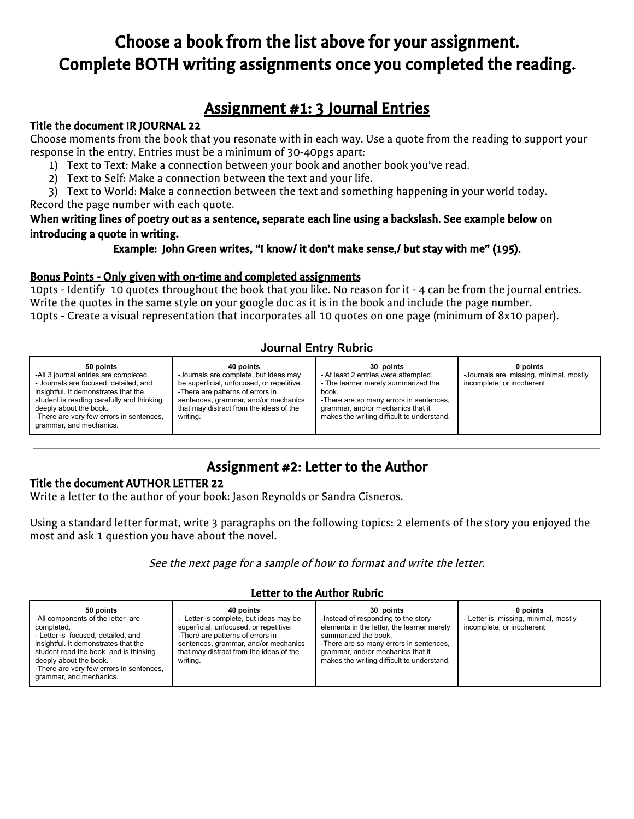# Choose a book from the list above for your assignment. Complete BOTH writing assignments once you completed the reading.

## Assignment #1: 3 Journal Entries

#### Title the document IR JOURNAL 22

Choose moments from the book that you resonate with in each way. Use a quote from the reading to support your response in the entry. Entries must be a minimum of 30-40pgs apart:

- 1) Text to Text: Make a connection between your book and another book you've read.
- 2) Text to Self: Make a connection between the text and your life.

3) Text to World: Make a connection between the text and something happening in your world today. Record the page number with each quote.

#### When writing lines of poetry out as a sentence, separate each line using a backslash. See example below on introducing a quote in writing.

Example: John Green writes, "I know/ it don't make sense,/ but stay with me" (195).

#### Bonus Points - Only given with on-time and completed assignments

10pts - Identify 10 quotes throughout the book that you like. No reason for it - 4 can be from the journal entries. Write the quotes in the same style on your google doc as it is in the book and include the page number. 10pts - Create a visual representation that incorporates all 10 quotes on one page (minimum of 8x10 paper).

#### **Journal Entry Rubric**

| 50 points<br>-All 3 journal entries are completed.<br>- Journals are focused, detailed, and<br>insightful. It demonstrates that the<br>student is reading carefully and thinking<br>deeply about the book. | 40 points<br>-Journals are complete, but ideas may<br>be superficial, unfocused, or repetitive.<br>-There are patterns of errors in<br>sentences, grammar, and/or mechanics<br>that may distract from the ideas of the | 30 points<br>- At least 2 entries were attempted.<br>- The learner merely summarized the<br>book.<br>-There are so many errors in sentences,<br>grammar, and/or mechanics that it | 0 points<br>-Journals are missing, minimal, mostly<br>incomplete, or incoherent |
|------------------------------------------------------------------------------------------------------------------------------------------------------------------------------------------------------------|------------------------------------------------------------------------------------------------------------------------------------------------------------------------------------------------------------------------|-----------------------------------------------------------------------------------------------------------------------------------------------------------------------------------|---------------------------------------------------------------------------------|
| -There are very few errors in sentences,<br>grammar, and mechanics.                                                                                                                                        | writing.                                                                                                                                                                                                               | makes the writing difficult to understand.                                                                                                                                        |                                                                                 |

### Assignment #2: Letter to the Author

#### Title the document AUTHOR LETTER 22

Write a letter to the author of your book: Jason Reynolds or Sandra Cisneros.

Using a standard letter format, write 3 paragraphs on the following topics: 2 elements of the story you enjoyed the most and ask 1 question you have about the novel.

See the next page for <sup>a</sup> sample of how to format and write the letter.

#### Letter to the Author Rubric

| 50 points<br>40 points<br>Letter is complete, but ideas may be<br>-All components of the letter are<br>$\overline{\phantom{a}}$<br>superficial, unfocused, or repetitive.<br>completed.<br>- Letter is focused, detailed, and<br>-There are patterns of errors in<br>insightful. It demonstrates that the<br>sentences, grammar, and/or mechanics<br>that may distract from the ideas of the<br>student read the book and is thinking<br>deeply about the book.<br>writing.<br>-There are very few errors in sentences,<br>grammar, and mechanics. | 30 points<br>-Instead of responding to the story<br>elements in the letter, the learner merely<br>summarized the book.<br>-There are so many errors in sentences,<br>grammar, and/or mechanics that it<br>makes the writing difficult to understand. | 0 points<br>- Letter is missing, minimal, mostly<br>incomplete, or incoherent |
|----------------------------------------------------------------------------------------------------------------------------------------------------------------------------------------------------------------------------------------------------------------------------------------------------------------------------------------------------------------------------------------------------------------------------------------------------------------------------------------------------------------------------------------------------|------------------------------------------------------------------------------------------------------------------------------------------------------------------------------------------------------------------------------------------------------|-------------------------------------------------------------------------------|
|----------------------------------------------------------------------------------------------------------------------------------------------------------------------------------------------------------------------------------------------------------------------------------------------------------------------------------------------------------------------------------------------------------------------------------------------------------------------------------------------------------------------------------------------------|------------------------------------------------------------------------------------------------------------------------------------------------------------------------------------------------------------------------------------------------------|-------------------------------------------------------------------------------|